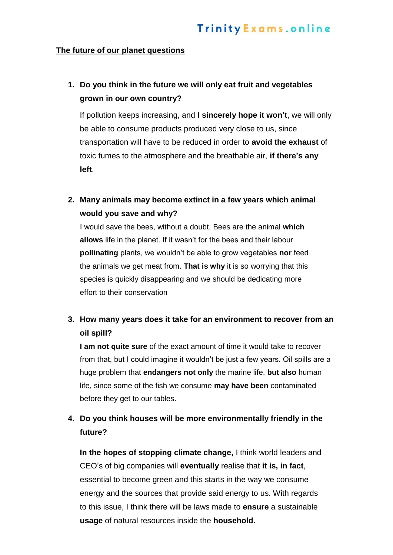## **The future of our planet questions**

## **1. Do you think in the future we will only eat fruit and vegetables grown in our own country?**

If pollution keeps increasing, and **I sincerely hope it won't**, we will only be able to consume products produced very close to us, since transportation will have to be reduced in order to **avoid the exhaust** of toxic fumes to the atmosphere and the breathable air, **if there's any left**.

**2. Many animals may become extinct in a few years which animal would you save and why?**

I would save the bees, without a doubt. Bees are the animal **which allows** life in the planet. If it wasn't for the bees and their labour **pollinating** plants, we wouldn't be able to grow vegetables **nor** feed the animals we get meat from. **That is why** it is so worrying that this species is quickly disappearing and we should be dedicating more effort to their conservation

## **3. How many years does it take for an environment to recover from an oil spill?**

**I am not quite sure** of the exact amount of time it would take to recover from that, but I could imagine it wouldn't be just a few years. Oil spills are a huge problem that **endangers not only** the marine life, **but also** human life, since some of the fish we consume **may have been** contaminated before they get to our tables.

## **4. Do you think houses will be more environmentally friendly in the future?**

**In the hopes of stopping climate change,** I think world leaders and CEO's of big companies will **eventually** realise that **it is, in fact**, essential to become green and this starts in the way we consume energy and the sources that provide said energy to us. With regards to this issue, I think there will be laws made to **ensure** a sustainable **usage** of natural resources inside the **household.**